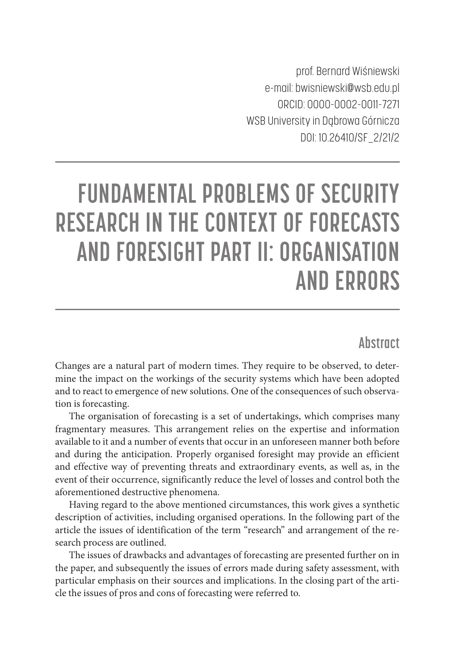prof. Bernard Wiśniewski e-mail: bwisniewski@wsb.edu.pl ORCID: 0000-0002-0011-7271 WSB University in Dąbrowa Górnicza DOI: 10.26410/SF\_2/21/2

# **FUNDAMENTAL PROBLEMS OF SECURITY RESEARCH IN THE CONTEXT OF FORECASTS AND FORESIGHT PART II: ORGANISATION AND ERRORS**

### **Abstract**

Changes are a natural part of modern times. They require to be observed, to determine the impact on the workings of the security systems which have been adopted and to react to emergence of new solutions. One of the consequences of such observation is forecasting.

The organisation of forecasting is a set of undertakings, which comprises many fragmentary measures. This arrangement relies on the expertise and information available to it and a number of events that occur in an unforeseen manner both before and during the anticipation. Properly organised foresight may provide an efficient and effective way of preventing threats and extraordinary events, as well as, in the event of their occurrence, significantly reduce the level of losses and control both the aforementioned destructive phenomena.

Having regard to the above mentioned circumstances, this work gives a synthetic description of activities, including organised operations. In the following part of the article the issues of identification of the term "research" and arrangement of the research process are outlined.

The issues of drawbacks and advantages of forecasting are presented further on in the paper, and subsequently the issues of errors made during safety assessment, with particular emphasis on their sources and implications. In the closing part of the article the issues of pros and cons of forecasting were referred to.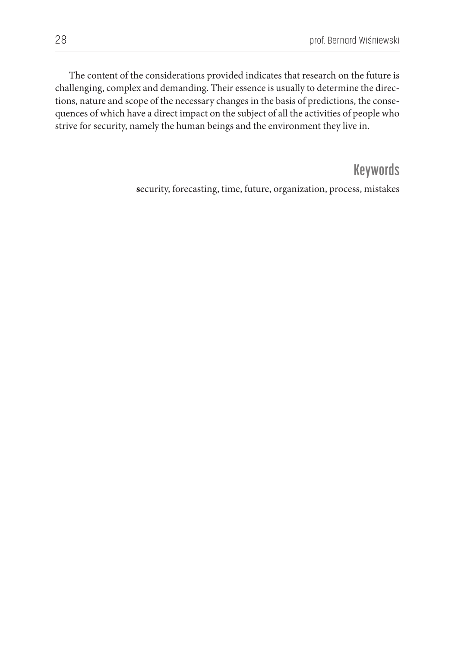The content of the considerations provided indicates that research on the future is challenging, complex and demanding. Their essence is usually to determine the directions, nature and scope of the necessary changes in the basis of predictions, the consequences of which have a direct impact on the subject of all the activities of people who strive for security, namely the human beings and the environment they live in.

# **Keywords**

**s**ecurity, forecasting, time, future, organization, process, mistakes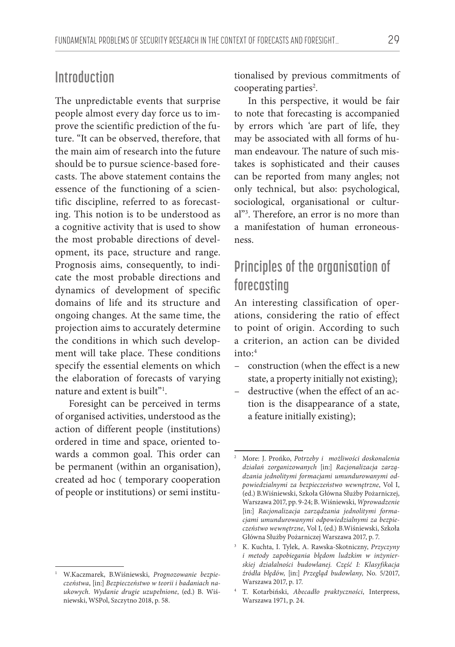## **Introduction**

The unpredictable events that surprise people almost every day force us to improve the scientific prediction of the future. "It can be observed, therefore, that the main aim of research into the future should be to pursue science-based forecasts. The above statement contains the essence of the functioning of a scientific discipline, referred to as forecasting. This notion is to be understood as a cognitive activity that is used to show the most probable directions of development, its pace, structure and range. Prognosis aims, consequently, to indicate the most probable directions and dynamics of development of specific domains of life and its structure and ongoing changes. At the same time, the projection aims to accurately determine the conditions in which such development will take place. These conditions specify the essential elements on which the elaboration of forecasts of varying nature and extent is built"1 .

Foresight can be perceived in terms of organised activities, understood as the action of different people (institutions) ordered in time and space, oriented towards a common goal. This order can be permanent (within an organisation), created ad hoc ( temporary cooperation of people or institutions) or semi institutionalised by previous commitments of cooperating parties<sup>2</sup>.

In this perspective, it would be fair to note that forecasting is accompanied by errors which 'are part of life, they may be associated with all forms of human endeavour. The nature of such mistakes is sophisticated and their causes can be reported from many angles; not only technical, but also: psychological, sociological, organisational or cultural"3 . Therefore, an error is no more than a manifestation of human erroneousness.

# **Principles of the organisation of forecasting**

An interesting classification of operations, considering the ratio of effect to point of origin. According to such a criterion, an action can be divided into:4

- construction (when the effect is a new state, a property initially not existing);
- destructive (when the effect of an action is the disappearance of a state, a feature initially existing);

<sup>1</sup> W.Kaczmarek, B.Wiśniewski, *Prognozowanie bezpieczeństwa*, [in:] *Bezpieczeństwo w teorii i badaniach naukowych. Wydanie drugie uzupełnione*, (ed.) B. Wiśniewski, WSPol, Szczytno 2018, p. 58.

<sup>2</sup> More: J. Prońko, *Potrzeby i możliwości doskonalenia działań zorganizowanych* [in:] *Racjonalizacja zarządzania jednolitymi formacjami umundurowanymi odpowiedzialnymi za bezpieczeństwo wewnętrzne*, Vol I, (ed.) B.Wiśniewski, Szkoła Główna Służby Pożarniczej, Warszawa 2017, pp. 9-24; B. Wiśniewski, *Wprowadzenie* [in:] *Racjonalizacja zarządzania jednolitymi formacjami umundurowanymi odpowiedzialnymi za bezpieczeństwo wewnętrzne*, Vol I, (ed.) B.Wiśniewski, Szkoła Główna Służby Pożarniczej Warszawa 2017, p. 7.

<sup>3</sup> K. Kuchta, I. Tylek, A. Rawska-Skotniczny, *Przyczyny i metody zapobiegania błędom ludzkim w inżynierskiej działalności budowlanej. Część I: Klasyfikacja źródła błędów*, [in:] *Przegląd budowlany*, No. 5/2017, Warszawa 2017, p. 17.

<sup>4</sup> T. Kotarbiński, *Abecadło praktyczności*, Interpress, Warszawa 1971, p. 24.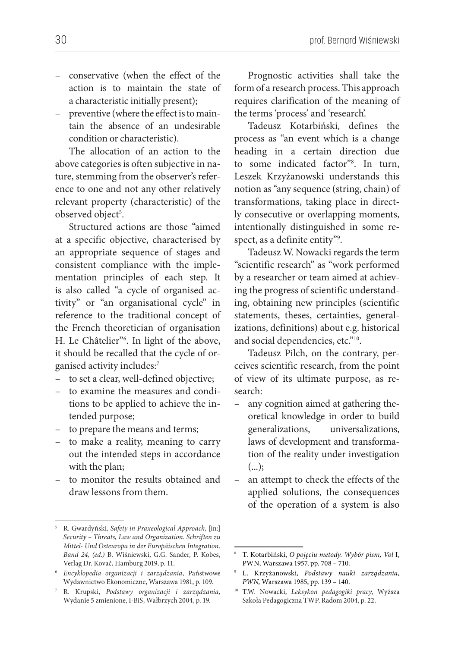- conservative (when the effect of the action is to maintain the state of a characteristic initially present);
- preventive (where the effect is to maintain the absence of an undesirable condition or characteristic).

The allocation of an action to the above categories is often subjective in nature, stemming from the observer's reference to one and not any other relatively relevant property (characteristic) of the observed object<sup>5</sup>.

Structured actions are those "aimed at a specific objective, characterised by an appropriate sequence of stages and consistent compliance with the implementation principles of each step. It is also called "a cycle of organised activity" or "an organisational cycle" in reference to the traditional concept of the French theoretician of organisation H. Le Châtelier"6 . In light of the above, it should be recalled that the cycle of organised activity includes:7

- to set a clear, well-defined objective;
- to examine the measures and conditions to be applied to achieve the intended purpose;
- to prepare the means and terms;
- to make a reality, meaning to carry out the intended steps in accordance with the plan;
- to monitor the results obtained and draw lessons from them.

Prognostic activities shall take the form of a research process. This approach requires clarification of the meaning of the terms 'process' and 'research'.

Tadeusz Kotarbiński, defines the process as "an event which is a change heading in a certain direction due to some indicated factor"8 . In turn, Leszek Krzyżanowski understands this notion as "any sequence (string, chain) of transformations, taking place in directly consecutive or overlapping moments, intentionally distinguished in some respect, as a definite entity"9 .

Tadeusz W. Nowacki regards the term "scientific research" as "work performed by a researcher or team aimed at achieving the progress of scientific understanding, obtaining new principles (scientific statements, theses, certainties, generalizations, definitions) about e.g. historical and social dependencies, etc."10.

Tadeusz Pilch, on the contrary, perceives scientific research, from the point of view of its ultimate purpose, as research:

- any cognition aimed at gathering theoretical knowledge in order to build generalizations, universalizations, laws of development and transformation of the reality under investigation  $(...):$
- an attempt to check the effects of the applied solutions, the consequences of the operation of a system is also

<sup>5</sup> R. Gwardyński, *Safety in Praxeological Approach,* [in:] *Security – Threats, Law and Organization. Schriften zu Mittel- Und Osteuropa in der Europäischen Integration. Band 24, (ed.)* B. Wiśniewski, G.G. Sander, P. Kobes, Verlag Dr. Kovač, Hamburg 2019, p. 11.

<sup>6</sup> *Encyklopedia organizacji i zarządzania*, Państwowe Wydawnictwo Ekonomiczne, Warszawa 1981, p. 109.

<sup>7</sup> R. Krupski, *Podstawy organizacji i zarządzania,*  Wydanie 5 zmienione, I-BiS, Wałbrzych 2004, p. 19.

<sup>8</sup> T. Kotarbiński, *O pojęciu metody. Wybór pism, Vol* I, PWN, Warszawa 1957, pp. 708 – 710.

<sup>9</sup> L. Krzyżanowski, *Podstawy nauki zarządzania, PWN,* Warszawa 1985, pp. 139 – 140.

<sup>10</sup> T.W. Nowacki, *Leksykon pedagogiki pracy*, Wyższa Szkoła Pedagogiczna TWP, Radom 2004, p. 22.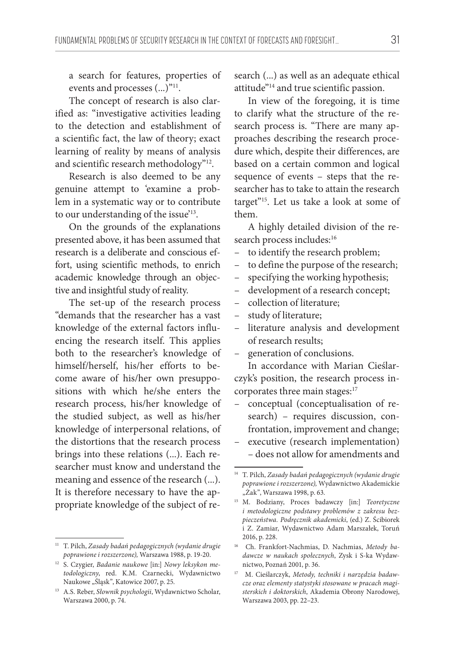a search for features, properties of events and processes  $(...)$ <sup>"11</sup>.

The concept of research is also clarified as: "investigative activities leading to the detection and establishment of a scientific fact, the law of theory; exact learning of reality by means of analysis and scientific research methodology"12.

Research is also deemed to be any genuine attempt to 'examine a problem in a systematic way or to contribute to our understanding of the issue'13.

On the grounds of the explanations presented above, it has been assumed that research is a deliberate and conscious effort, using scientific methods, to enrich academic knowledge through an objective and insightful study of reality.

The set-up of the research process "demands that the researcher has a vast knowledge of the external factors influencing the research itself. This applies both to the researcher's knowledge of himself/herself, his/her efforts to become aware of his/her own presuppositions with which he/she enters the research process, his/her knowledge of the studied subject, as well as his/her knowledge of interpersonal relations, of the distortions that the research process brings into these relations (...). Each researcher must know and understand the meaning and essence of the research (...). It is therefore necessary to have the appropriate knowledge of the subject of research (...) as well as an adequate ethical attitude"14 and true scientific passion.

In view of the foregoing, it is time to clarify what the structure of the research process is. "There are many approaches describing the research procedure which, despite their differences, are based on a certain common and logical sequence of events – steps that the researcher has to take to attain the research target"15. Let us take a look at some of them.

A highly detailed division of the research process includes:<sup>16</sup>

- to identify the research problem;
- to define the purpose of the research;
- specifying the working hypothesis;
- development of a research concept;
- collection of literature;
- study of literature;
- literature analysis and development of research results;
- generation of conclusions.

In accordance with Marian Cieślarczyk's position, the research process incorporates three main stages:<sup>17</sup>

- conceptual (conceptualisation of research) – requires discussion, confrontation, improvement and change;
- executive (research implementation) – does not allow for amendments and

<sup>11</sup> T. Pilch, *Zasady badań pedagogicznych (wydanie drugie poprawione i rozszerzone),* Warszawa 1988, p. 19-20.

<sup>12</sup> S. Czygier, *Badanie naukowe* [in:] *Nowy leksykon metodologiczny*, red. K.M. Czarnecki, Wydawnictwo Naukowe "Śląsk", Katowice 2007, p. 25.

<sup>13</sup> A.S. Reber, *Słownik psychologii*, Wydawnictwo Scholar, Warszawa 2000, p. 74.

<sup>14</sup> T. Pilch, *Zasady badań pedagogicznych (wydanie drugie poprawione i rozszerzone),* Wydawnictwo Akademickie "Żak", Warszawa 1998, p. 63.

<sup>15</sup> M. Bodziany, Proces badawczy [in:] *Teoretyczne i metodologiczne podstawy problemów z zakresu bezpieczeństwa. Podręcznik akademicki*, (ed.) Z. Ścibiorek i Z. Zamiar, Wydawnictwo Adam Marszałek, Toruń 2016, p. 228.

<sup>16</sup> Ch. Frankfort-Nachmias, D. Nachmias, *Metody badawcze w naukach społecznych*, Zysk i S-ka Wydawnictwo, Poznań 2001, p. 36.

<sup>17</sup> M. Cieślarczyk, *Metody, techniki i narzędzia badawcze oraz elementy statystyki stosowane w pracach magisterskich i doktorskich*, Akademia Obrony Narodowej, Warszawa 2003, pp. 22–23.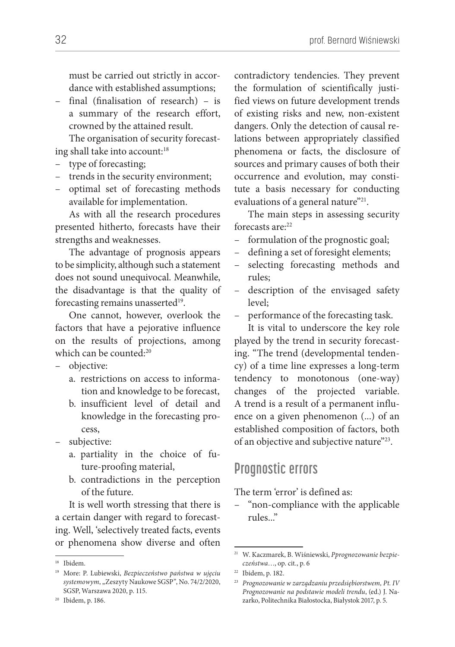must be carried out strictly in accordance with established assumptions;

– final (finalisation of research) – is a summary of the research effort, crowned by the attained result.

The organisation of security forecasting shall take into account:<sup>18</sup>

- type of forecasting;
- trends in the security environment;
- optimal set of forecasting methods available for implementation.

As with all the research procedures presented hitherto, forecasts have their strengths and weaknesses.

The advantage of prognosis appears to be simplicity, although such a statement does not sound unequivocal. Meanwhile, the disadvantage is that the quality of forecasting remains unasserted<sup>19</sup>.

One cannot, however, overlook the factors that have a pejorative influence on the results of projections, among which can be counted:<sup>20</sup>

– objective:

- a. restrictions on access to information and knowledge to be forecast,
- b. insufficient level of detail and knowledge in the forecasting process,
- subjective:
	- a. partiality in the choice of future-proofing material,
	- b. contradictions in the perception of the future.

It is well worth stressing that there is a certain danger with regard to forecasting. Well, 'selectively treated facts, events or phenomena show diverse and often

contradictory tendencies. They prevent the formulation of scientifically justified views on future development trends of existing risks and new, non-existent dangers. Only the detection of causal relations between appropriately classified phenomena or facts, the disclosure of sources and primary causes of both their occurrence and evolution, may constitute a basis necessary for conducting evaluations of a general nature"<sup>21</sup>.

The main steps in assessing security forecasts are<sup>22</sup>

- formulation of the prognostic goal;
- defining a set of foresight elements;
- selecting forecasting methods and rules;
- description of the envisaged safety level;
- performance of the forecasting task.

It is vital to underscore the key role played by the trend in security forecasting. "The trend (developmental tendency) of a time line expresses a long-term tendency to monotonous (one-way) changes of the projected variable. A trend is a result of a permanent influence on a given phenomenon (...) of an established composition of factors, both of an objective and subjective nature"23.

#### **Prognostic errors**

The term 'error' is defined as:

– "non-compliance with the applicable rules..."

<sup>18</sup> Ibidem.

<sup>19</sup> More: P. Lubiewski, *Bezpieczeństwo państwa w ujęciu*  systemowym, "Zeszyty Naukowe SGSP", No. 74/2/2020, SGSP, Warszawa 2020, p. 115.

<sup>20</sup> Ibidem, p. 186.

<sup>21</sup> W. Kaczmarek, B. Wiśniewski, *Pprognozowanie bezpieczeństwa*…, op. cit., p. 6

<sup>22</sup> Ibidem, p. 182.

<sup>23</sup> *Prognozowanie w zarządzaniu przedsiębiorstwem, Pt. IV Prognozowanie na podstawie modeli trendu*, (ed.) J. Nazarko, Politechnika Białostocka, Białystok 2017, p. 5.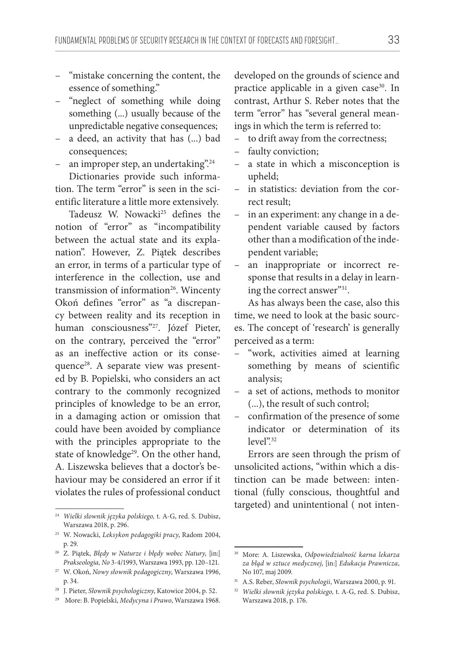- "mistake concerning the content, the essence of something."
- "neglect of something while doing something (...) usually because of the unpredictable negative consequences;
- a deed, an activity that has (...) bad consequences;
- an improper step, an undertaking".24

Dictionaries provide such information. The term "error" is seen in the scientific literature a little more extensively.

Tadeusz W. Nowacki<sup>25</sup> defines the notion of "error" as "incompatibility between the actual state and its explanation". However, Z. Piątek describes an error, in terms of a particular type of interference in the collection, use and transmission of information<sup>26</sup>. Wincenty Okoń defines "error" as "a discrepancy between reality and its reception in human consciousness"27. Józef Pieter, on the contrary, perceived the "error" as an ineffective action or its consequence<sup>28</sup>. A separate view was presented by B. Popielski, who considers an act contrary to the commonly recognized principles of knowledge to be an error, in a damaging action or omission that could have been avoided by compliance with the principles appropriate to the state of knowledge<sup>29</sup>. On the other hand, A. Liszewska believes that a doctor's behaviour may be considered an error if it violates the rules of professional conduct

developed on the grounds of science and practice applicable in a given case<sup>30</sup>. In contrast, Arthur S. Reber notes that the term "error" has "several general meanings in which the term is referred to:

- to drift away from the correctness;
- faulty conviction;
- a state in which a misconception is upheld;
- in statistics: deviation from the correct result;
- in an experiment: any change in a dependent variable caused by factors other than a modification of the independent variable;
- an inappropriate or incorrect response that results in a delay in learning the correct answer"<sup>31</sup>.

As has always been the case, also this time, we need to look at the basic sources. The concept of 'research' is generally perceived as a term:

- "work, activities aimed at learning something by means of scientific analysis;
- a set of actions, methods to monitor (...), the result of such control;
- confirmation of the presence of some indicator or determination of its level".32

Errors are seen through the prism of unsolicited actions, "within which a distinction can be made between: intentional (fully conscious, thoughtful and targeted) and unintentional ( not inten-

<sup>24</sup> *Wielki słownik języka polskiego,* t. A-G, red. S. Dubisz, Warszawa 2018, p. 296.

<sup>25</sup> W. Nowacki, *Leksykon pedagogiki pracy*, Radom 2004, p. 29.

<sup>26</sup> Z. Piątek, *Błędy w Naturze i błędy wobec Natury*, [in:] *Prakseologia, No* 3-4/1993, Warszawa 1993, pp. 120–121.

<sup>27</sup> W. Okoń, *Nowy słownik pedagogiczny*, Warszawa 1996, p. 34.

<sup>28</sup> J. Pieter, *Słownik psychologiczny*, Katowice 2004, p. 52.

<sup>29</sup> More: B. Popielski, *Medycyna i Prawo*, Warszawa 1968.

<sup>30</sup> More: A. Liszewska, *Odpowiedzialność karna lekarza za błąd w sztuce medycznej*, [in:] *Edukacja Prawnicza*, No 107, maj 2009.

<sup>31</sup> A.S. Reber, *Słownik psychologii*, Warszawa 2000, p. 91.

<sup>32</sup> *Wielki słownik języka polskiego,* t. A-G, red. S. Dubisz, Warszawa 2018, p. 176.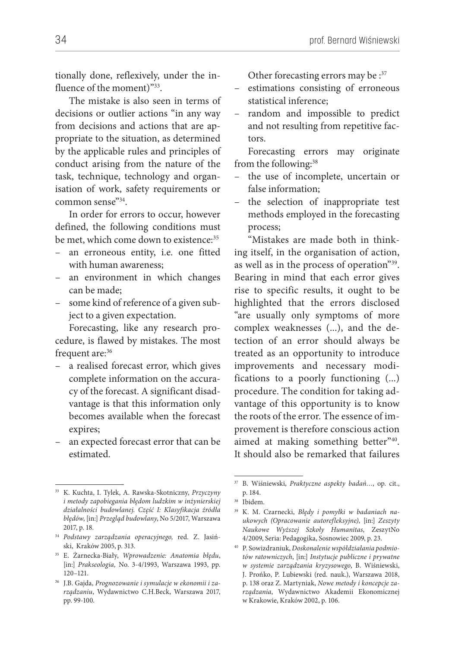tionally done, reflexively, under the influence of the moment)"33.

The mistake is also seen in terms of decisions or outlier actions "in any way from decisions and actions that are appropriate to the situation, as determined by the applicable rules and principles of conduct arising from the nature of the task, technique, technology and organisation of work, safety requirements or common sense"34.

In order for errors to occur, however defined, the following conditions must be met, which come down to existence:<sup>35</sup>

- an erroneous entity, i.e. one fitted with human awareness;
- an environment in which changes can be made;
- some kind of reference of a given subject to a given expectation.

Forecasting, like any research procedure, is flawed by mistakes. The most frequent are:<sup>36</sup>

- a realised forecast error, which gives complete information on the accuracy of the forecast. A significant disadvantage is that this information only becomes available when the forecast expires;
- an expected forecast error that can be estimated.

Other forecasting errors may be : 37

- estimations consisting of erroneous statistical inference;
- random and impossible to predict and not resulting from repetitive factors.

Forecasting errors may originate from the following:38

- the use of incomplete, uncertain or false information;
- the selection of inappropriate test methods employed in the forecasting process;

"Mistakes are made both in thinking itself, in the organisation of action, as well as in the process of operation"<sup>39</sup>. Bearing in mind that each error gives rise to specific results, it ought to be highlighted that the errors disclosed "are usually only symptoms of more complex weaknesses (...), and the detection of an error should always be treated as an opportunity to introduce improvements and necessary modifications to a poorly functioning (...) procedure. The condition for taking advantage of this opportunity is to know the roots of the error. The essence of improvement is therefore conscious action aimed at making something better"<sup>40</sup>. It should also be remarked that failures

<sup>33</sup> K. Kuchta, I. Tylek, A. Rawska-Skotniczny, *Przyczyny i metody zapobiegania błędom ludzkim w inżynierskiej działalności budowlanej. Część I: Klasyfikacja źródła błędów*, [in:] *Przegląd budowlany*, No 5/2017, Warszawa 2017, p. 18.

<sup>34</sup> *Podstawy zarządzania operacyjnego,* red*.* Z. Jasiński, Kraków 2005, p. 313.

<sup>35</sup> E. Żarnecka-Biały, *Wprowadzenie: Anatomia błędu*, [in:] *Prakseologia,* No. 3-4/1993, Warszawa 1993, pp. 120–121.

<sup>36</sup> J.B. Gajda, *Prognozowanie i symulacje w ekonomii i zarządzaniu*, Wydawnictwo C.H.Beck, Warszawa 2017, pp. 99-100.

<sup>37</sup> B. Wiśniewski, *Praktyczne aspekty badań…*, op. cit., p. 184.

<sup>38</sup> Ibidem.

<sup>39</sup> K. M. Czarnecki, *Błędy i pomyłki w badaniach naukowych (Opracowanie autorefleksyjne)*, [in:] *Zeszyty Naukowe Wyższej Szkoły Humanitas,* ZeszytNo 4/2009, Seria: Pedagogika, Sosnowiec 2009, p. 23.

<sup>40</sup> P. Sowizdraniuk, *Doskonalenie współdziałania podmiotów ratowniczych*, [in:] *Instytucje publiczne i prywatne w systemie zarządzania kryzysowego*, B. Wiśniewski, J. Prońko, P. Lubiewski (red. nauk.), Warszawa 2018, p. 138 oraz Z. Martyniak, *Nowe metody i koncepcje zarządzania*, Wydawnictwo Akademii Ekonomicznej w Krakowie, Kraków 2002, p. 106.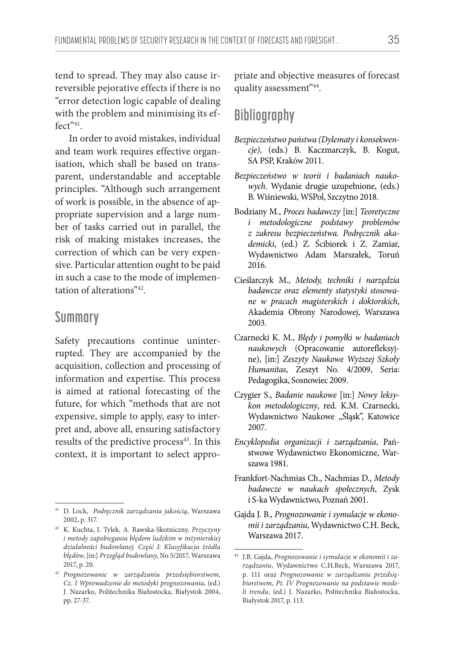tend to spread. They may also cause irreversible pejorative effects if there is no "error detection logic capable of dealing with the problem and minimising its effect"<sup>41</sup>.

In order to avoid mistakes, individual and team work requires effective organisation, which shall be based on transparent, understandable and acceptable principles. "Although such arrangement of work is possible, in the absence of appropriate supervision and a large number of tasks carried out in parallel, the risk of making mistakes increases, the correction of which can be very expensive. Particular attention ought to be paid in such a case to the mode of implementation of alterations"42.

#### **Summary**

Safety precautions continue uninterrupted. They are accompanied by the acquisition, collection and processing of information and expertise. This process is aimed at rational forecasting of the future, for which "methods that are not expensive, simple to apply, easy to interpret and, above all, ensuring satisfactory results of the predictive process<sup>43</sup>. In this context, it is important to select appro-

priate and objective measures of forecast quality assessment"44.

# **Bibliography**

- *Bezpieczeństwo państwa (Dylematy i konsekwencje)*, (eds.) B. Kaczmarczyk, B. Kogut, SA PSP, Kraków 2011.
- *Bezpieczeństwo w teorii i badaniach naukowych*. Wydanie drugie uzupełnione, (eds.) B. Wiśniewski, WSPol, Szczytno 2018.
- Bodziany M., *Proces badawczy* [in:] *Teoretyczne i metodologiczne podstawy problemów z zakresu bezpieczeństwa. Podręcznik akademicki*, (ed.) Z. Ścibiorek i Z. Zamiar, Wydawnictwo Adam Marszałek, Toruń 2016.
- Cieślarczyk M., *Metody, techniki i narzędzia badawcze oraz elementy statystyki stosowane w pracach magisterskich i doktorskich*, Akademia Obrony Narodowej, Warszawa 2003.
- Czarnecki K. M., *Błędy i pomyłki w badaniach naukowych* (Opracowanie autorefleksyjne), [in:] *Zeszyty Naukowe Wyższej Szkoły Humanitas*, Zeszyt No. 4/2009, Seria: Pedagogika, Sosnowiec 2009.
- Czygier S., *Badanie naukowe* [in:] *Nowy leksykon metodologiczny*, red. K.M. Czarnecki, Wydawnictwo Naukowe "Śląsk", Katowice 2007.
- *Encyklopedia organizacji i zarządzania*, Państwowe Wydawnictwo Ekonomiczne, Warszawa 1981.
- Frankfort-Nachmias Ch., Nachmias D., *Metody badawcze w naukach społecznych*, Zysk i S-ka Wydawnictwo, Poznań 2001.
- Gajda J. B., *Prognozowanie i symulacje w ekonomii i zarządzaniu*, Wydawnictwo C.H. Beck, Warszawa 2017.

<sup>41</sup> D. Lock, *Podręcznik zarządzania jakością*, Warszawa 2002, p. 317.

<sup>42</sup> K. Kuchta, I. Tylek, A. Rawska-Skotniczny, *Przyczyny i metody zapobiegania błędom ludzkim w inżynierskiej działalności budowlanej. Część I: Klasyfikacja źródła błędów*, [in:] *Przegląd budowlany*, No 5/2017, Warszawa 2017, p. 20.

<sup>43</sup> *Prognozowanie w zarządzaniu przedsiębiorstwem, Cz. I Wprowadzenie do metodyki prognozowania*, (ed.) J. Nazarko, Politechnika Białostocka, Białystok 2004, pp. 27-37.

<sup>44</sup> J.B. Gajda, *Prognozowanie i symulacje w ekonomii i zarządzaniu*, Wydawnictwo C.H.Beck, Warszawa 2017, p. 111 oraz *Prognozowanie w zarządzaniu przedsiębiorstwem, Pt. IV Prognozowanie na podstawie modeli trendu*, (ed.) J. Nazarko, Politechnika Białostocka, Białystok 2017, p. 113.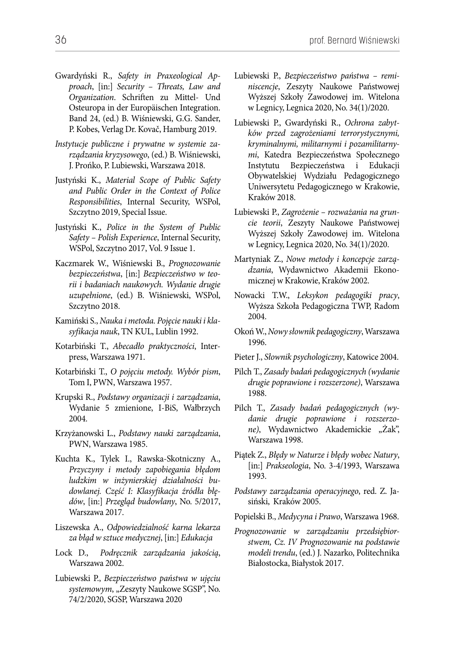- Gwardyński R., *Safety in Praxeological Approach*, [in:] *Security – Threats, Law and Organization*. Schriften zu Mittel- Und Osteuropa in der Europäischen Integration. Band 24, (ed.) B. Wiśniewski, G.G. Sander, P. Kobes, Verlag Dr. Kovač, Hamburg 2019.
- *Instytucje publiczne i prywatne w systemie zarządzania kryzysowego*, (ed.) B. Wiśniewski, J. Prońko, P. Lubiewski, Warszawa 2018.
- Justyński K., *Material Scope of Public Safety and Public Order in the Context of Police Responsibilities*, Internal Security, WSPol, Szczytno 2019, Special Issue.
- Justyński K., *Police in the System of Public Safety – Polish Experience*, Internal Security, WSPol, Szczytno 2017, Vol. 9 Issue 1.
- Kaczmarek W., Wiśniewski B., *Prognozowanie bezpieczeństwa*, [in:] *Bezpieczeństwo w teorii i badaniach naukowych. Wydanie drugie uzupełnione*, (ed.) B. Wiśniewski, WSPol, Szczytno 2018.
- Kamiński S., *Nauka i metoda. Pojęcie nauki i klasyfikacja nauk*, TN KUL, Lublin 1992.
- Kotarbiński T., *Abecadło praktyczności*, Interpress, Warszawa 1971.
- Kotarbiński T., *O pojęciu metody. Wybór pism*, Tom I, PWN, Warszawa 1957.
- Krupski R., *Podstawy organizacji i zarządzania*, Wydanie 5 zmienione, I-BiS, Wałbrzych 2004.
- Krzyżanowski L., *Podstawy nauki zarządzania*, PWN, Warszawa 1985.
- Kuchta K., Tylek I., Rawska-Skotniczny A., *Przyczyny i metody zapobiegania błędom ludzkim w inżynierskiej działalności budowlanej. Część I: Klasyfikacja źródła błędów*, [in:] *Przegląd budowlany*, No. 5/2017, Warszawa 2017.
- Liszewska A., *Odpowiedzialność karna lekarza za błąd w sztuce medycznej*, [in:] *Edukacja*
- Lock D., *Podręcznik zarządzania jakością*, Warszawa 2002.
- Lubiewski P., *Bezpieczeństwo państwa w ujęciu*  systemowym, "Zeszyty Naukowe SGSP", No. 74/2/2020, SGSP, Warszawa 2020
- Lubiewski P., *Bezpieczeństwo państwa reminiscencje*, Zeszyty Naukowe Państwowej Wyższej Szkoły Zawodowej im. Witelona w Legnicy, Legnica 2020, No. 34(1)/2020.
- Lubiewski P., Gwardyński R., *Ochrona zabytków przed zagrożeniami terrorystycznymi, kryminalnymi, militarnymi i pozamilitarnymi*, Katedra Bezpieczeństwa Społecznego Instytutu Bezpieczeństwa i Edukacji Obywatelskiej Wydziału Pedagogicznego Uniwersytetu Pedagogicznego w Krakowie, Kraków 2018.
- Lubiewski P., *Zagrożenie rozważania na gruncie teorii*, Zeszyty Naukowe Państwowej Wyższej Szkoły Zawodowej im. Witelona w Legnicy, Legnica 2020, No. 34(1)/2020.
- Martyniak Z., *Nowe metody i koncepcje zarządzania*, Wydawnictwo Akademii Ekonomicznej w Krakowie, Kraków 2002.
- Nowacki T.W., *Leksykon pedagogiki pracy*, Wyższa Szkoła Pedagogiczna TWP, Radom 2004.
- Okoń W., *Nowy słownik pedagogiczny*, Warszawa 1996.
- Pieter J., *Słownik psychologiczny*, Katowice 2004.
- Pilch T., *Zasady badań pedagogicznych (wydanie drugie poprawione i rozszerzone)*, Warszawa 1988.
- Pilch T., *Zasady badań pedagogicznych (wydanie drugie poprawione i rozszerzo*ne), Wydawnictwo Akademickie "Żak", Warszawa 1998.
- Piątek Z., *Błędy w Naturze i błędy wobec Natury*, [in:] *Prakseologia*, No. 3-4/1993, Warszawa 1993.
- *Podstawy zarządzania operacyjnego*, red. Z. Jasiński, Kraków 2005.
- Popielski B., *Medycyna i Prawo*, Warszawa 1968.
- *Prognozowanie w zarządzaniu przedsiębiorstwem, Cz. IV Prognozowanie na podstawie modeli trendu*, (ed.) J. Nazarko, Politechnika Białostocka, Białystok 2017.